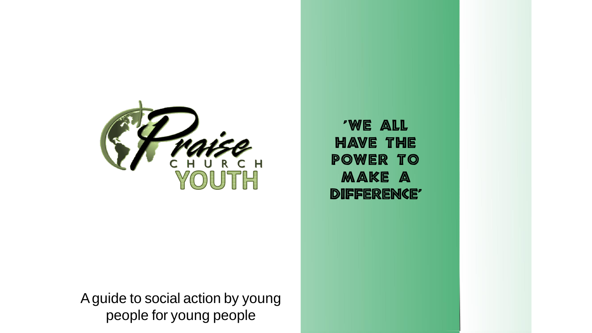

Aguide to social action by young people for young people

'We all have the power to make a DIFFERENCE'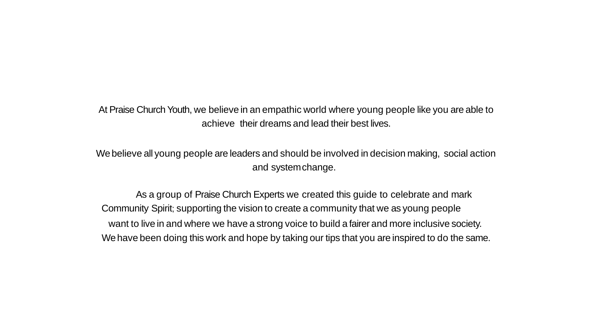At Praise Church Youth, we believe in an empathic world where young people like you are able to achieve their dreams and lead their best lives.

Webelieve all young people are leaders and should be involved in decision making, social action and systemchange.

As a group of Praise Church Experts we created this guide to celebrate and mark Community Spirit; supporting the vision to create a community that we as young people want to live in and where we have a strong voice to build a fairer and more inclusive society. We have been doing this work and hope by taking our tips that you are inspired to do the same.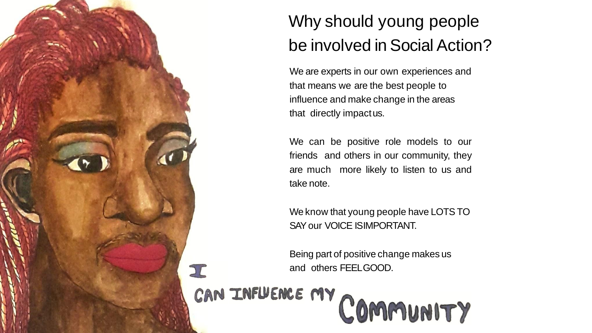

## Why should young people be involved in Social Action?

We are experts in our own experiences and that means we are the best people to influence and make change in the areas that directly impactus.

We can be positive role models to our friends and others in our community, they are much more likely to listen to us and take note.

We know that young people have LOTS TO SAYour VOICE ISIMPORTANT.

Being part of positive change makes us

E and others FEELGOOD.<br>CAN INFUENCE MY COMMUNITY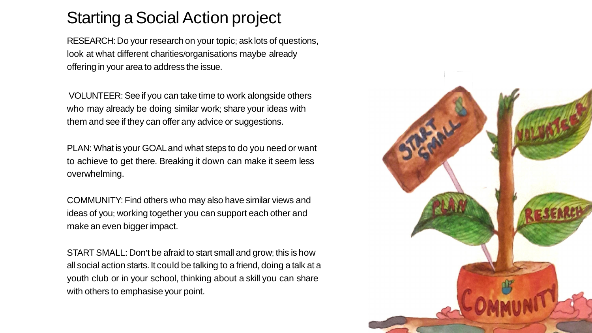## Starting a Social Action project

RESEARCH: Do your research on your topic; ask lots of questions, look at what different charities/organisations maybe already offering in your area to address the issue.

VOLUNTEER: See if you can take time to work alongside others who may already be doing similar work; share your ideas with them and see if they can offer any advice or suggestions.

PLAN: What is your GOALand what steps to do you need or want to achieve to get there. Breaking it down can make it seem less overwhelming.

COMMUNITY: Find others who may also have similar views and ideas of you; working together you can support each other and make an even bigger impact.

STARTSMALL: Don't be afraid to start small and grow; this is how all social action starts. It could be talking to a friend, doing a talk at a youth club or in your school, thinking about a skill you can share with others to emphasise your point.

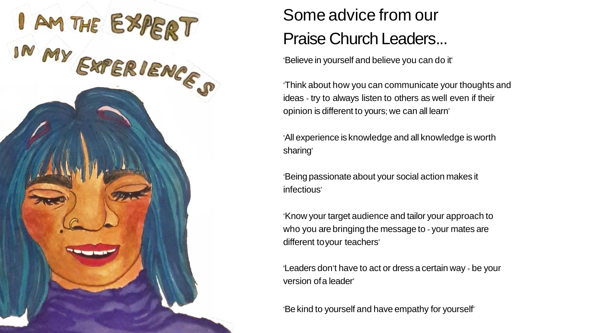

## Some advice from our Praise Church Leaders...

'Believe in yourself and believe you can do it'

'Think about how you can communicate your thoughts and ideas - try to always listen to others as well even if their opinion is different to yours; we can all learn'

'All experience is knowledge and all knowledge is worth sharing'

'Being passionate about your social action makes it infectious'

'Know your target audience and tailor your approach to who you are bringing the message to - your mates are different toyour teachers'

'Leaders don't have to act or dress a certain way - be your version ofa leader'

'Be kind to yourself and have empathy for yourself'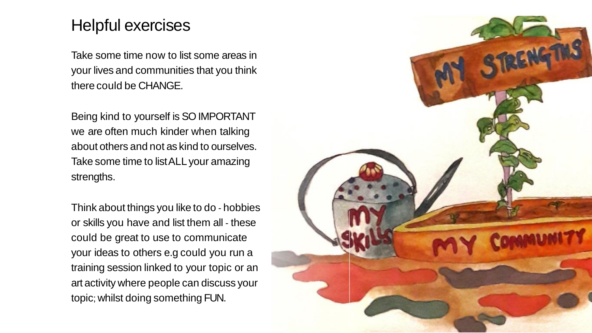## Helpful exercises

Take some time now to list some areas in your lives and communities that you think there could be CHANGE.

Being kind to yourself is SO IMPORTANT we are often much kinder when talking about others and not as kind to ourselves. Take some time to listALL your amazing strengths.

Think about things you like to do - hobbies or skills you have and list them all - these could be great to use to communicate your ideas to others e.g could you run a training session linked to your topic or an art activity where people can discuss your topic; whilst doing something FUN.

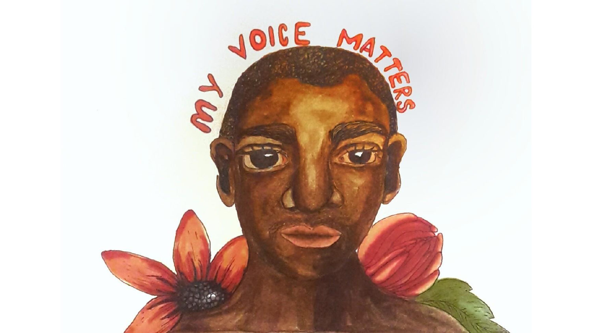